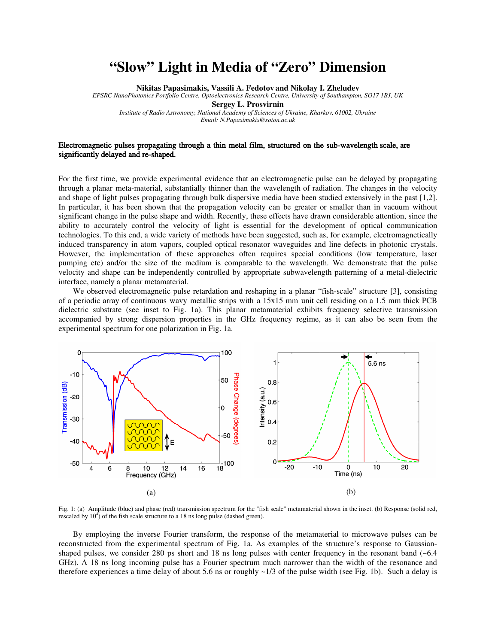## **"Slow" Light in Media of "Zero" Dimension**

**Nikitas Papasimakis, Vassili A. Fedotov and Nikolay I. Zheludev**

*EPSRC NanoPhotonics Portfolio Centre, Optoelectronics Research Centre, University of Southampton, SO17 1BJ, UK* 

**Sergey L. Prosvirnin** 

*Institute of Radio Astronomy, National Academy of Sciences of Ukraine, Kharkov, 61002, Ukraine* 

*Email: N.Papasimakis@soton.ac.uk* 

## Electromagnetic pulses propagating through a thin metal film, structured on the sub-wavelength scale, are significantly delayed and re-shaped.

For the first time, we provide experimental evidence that an electromagnetic pulse can be delayed by propagating through a planar meta-material, substantially thinner than the wavelength of radiation. The changes in the velocity and shape of light pulses propagating through bulk dispersive media have been studied extensively in the past [1,2]. In particular, it has been shown that the propagation velocity can be greater or smaller than in vacuum without significant change in the pulse shape and width. Recently, these effects have drawn considerable attention, since the ability to accurately control the velocity of light is essential for the development of optical communication technologies. To this end, a wide variety of methods have been suggested, such as, for example, electromagnetically induced transparency in atom vapors, coupled optical resonator waveguides and line defects in photonic crystals. However, the implementation of these approaches often requires special conditions (low temperature, laser pumping etc) and/or the size of the medium is comparable to the wavelength. We demonstrate that the pulse velocity and shape can be independently controlled by appropriate subwavelength patterning of a metal-dielectric interface, namely a planar metamaterial.

We observed electromagnetic pulse retardation and reshaping in a planar "fish-scale" structure [3], consisting of a periodic array of continuous wavy metallic strips with a 15x15 mm unit cell residing on a 1.5 mm thick PCB dielectric substrate (see inset to Fig. 1a). This planar metamaterial exhibits frequency selective transmission accompanied by strong dispersion properties in the GHz frequency regime, as it can also be seen from the experimental spectrum for one polarization in Fig. 1a.



Fig. 1: (a) Amplitude (blue) and phase (red) transmission spectrum for the "fish scale" metamaterial shown in the inset. (b) Response (solid red, rescaled by  $10<sup>4</sup>$ ) of the fish scale structure to a 18 ns long pulse (dashed green).

By employing the inverse Fourier transform, the response of the metamaterial to microwave pulses can be reconstructed from the experimental spectrum of Fig. 1a. As examples of the structure's response to Gaussianshaped pulses, we consider 280 ps short and 18 ns long pulses with center frequency in the resonant band  $(-6.4)$ GHz). A 18 ns long incoming pulse has a Fourier spectrum much narrower than the width of the resonance and therefore experiences a time delay of about 5.6 ns or roughly  $\sim$ 1/3 of the pulse width (see Fig. 1b). Such a delay is